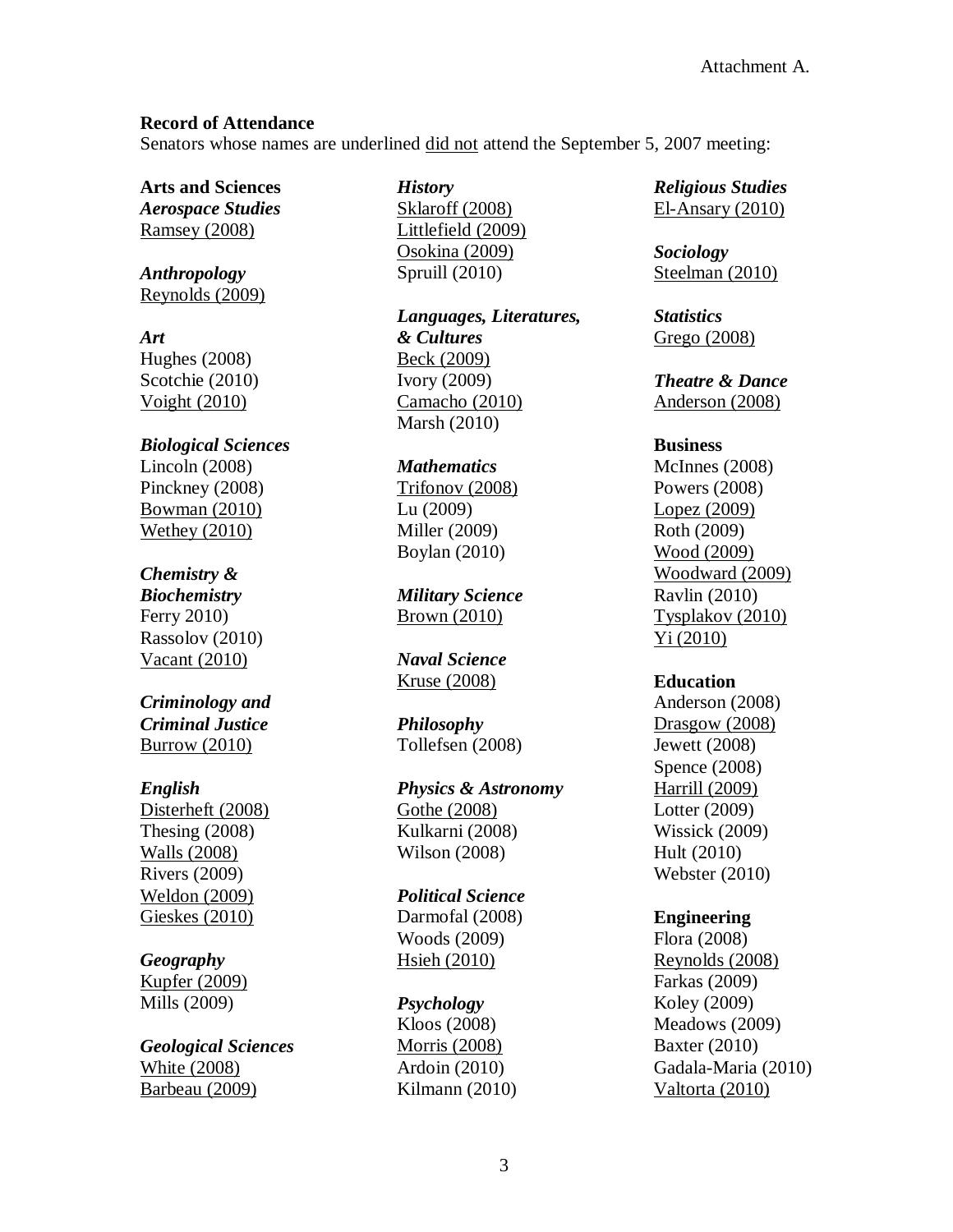# **Record of Attendance**

Senators whose names are underlined did not attend the September 5, 2007 meeting:

**Arts and Sciences**

*Aerospace Studies* Ramsey (2008)

*Anthropology* Reynolds (2009)

*Art* Hughes (2008) Scotchie (2010) Voight (2010)

*Biological Sciences* Lincoln (2008) Pinckney (2008) Bowman (2010) Wethey (2010)

# *Chemistry &*

*Biochemistry* Ferry 2010) Rassolov (2010) Vacant (2010)

# *Criminology and Criminal Justice* Burrow (2010)

# *English*

Disterheft (2008) Thesing (2008) Walls (2008) Rivers (2009) Weldon (2009) Gieskes (2010)

# *Geography*

Kupfer (2009) Mills (2009)

*Geological Sciences* White (2008) Barbeau (2009)

*History* Sklaroff (2008) Littlefield (2009) Osokina (2009)

Spruill (2010)

*Languages, Literatures, & Cultures* Beck (2009) Ivory (2009) Camacho (2010) Marsh (2010)

### *Mathematics*

Trifonov (2008) Lu (2009) Miller (2009) Boylan (2010)

*Military Science* Brown (2010)

*Naval Science* Kruse (2008)

*Philosophy* Tollefsen (2008)

*Physics & Astronomy* Gothe (2008) Kulkarni (2008)

Wilson (2008)

*Political Science* Darmofal (2008) Woods (2009) Hsieh (2010)

*Psychology* Kloos (2008)

Morris (2008) Ardoin (2010) Kilmann (2010) *Religious Studies* El-Ansary (2010)

*Sociology* Steelman (2010)

*Statistics* Grego (2008)

*Theatre & Dance* Anderson (2008)

# **Business**

McInnes (2008) Powers (2008) Lopez (2009) Roth (2009) Wood (2009) Woodward (2009) Ravlin (2010) Tysplakov (2010) Yi (2010)

# **Education**

Anderson (2008) Drasgow (2008) Jewett (2008) Spence (2008) Harrill (2009) Lotter (2009) Wissick (2009) Hult (2010) Webster (2010)

# **Engineering**

Flora (2008) Reynolds (2008) Farkas (2009) Koley (2009) Meadows (2009) Baxter (2010) Gadala-Maria (2010) Valtorta (2010)